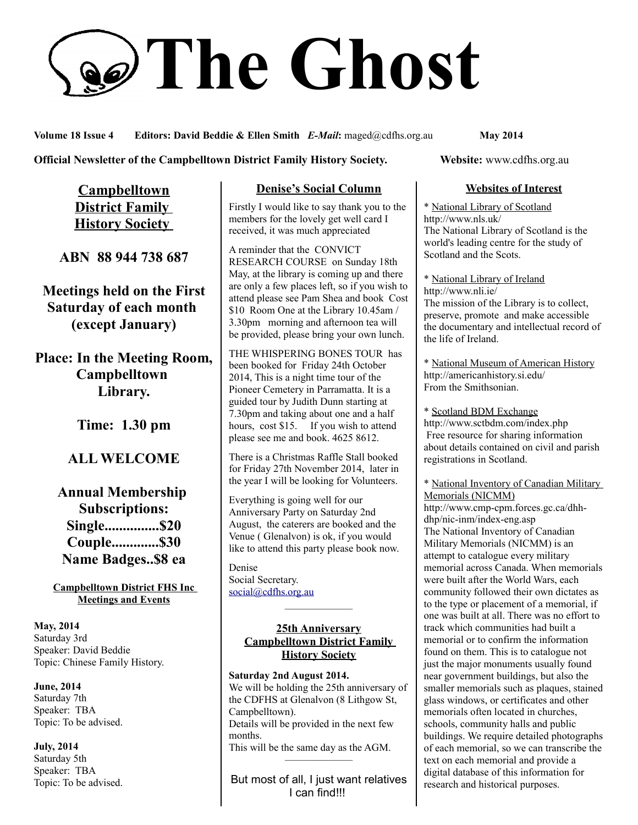# **The Ghost**

**Volume 18 Issue 4 Editors: David Beddie & Ellen Smith** *E-Mail***:** maged@cdfhs.org.au **May 2014**

### **Official Newsletter of the Campbelltown District Family History Society. Website: www.cdfhs.org.au**

**Campbelltown District Family History Society** 

**ABN 88 944 738 687**

**Meetings held on the First Saturday of each month (except January)**

**Place: In the Meeting Room, Campbelltown Library.**

**Time: 1.30 pm**

# **ALL WELCOME**

**Annual Membership Subscriptions: Single...............\$20 Couple.............\$30 Name Badges..\$8 ea**

**Campbelltown District FHS Inc Meetings and Events**

**May, 2014** Saturday 3rd Speaker: David Beddie Topic: Chinese Family History.

**June, 2014** Saturday 7th Speaker: TBA Topic: To be advised.

**July, 2014** Saturday 5th Speaker: TBA Topic: To be advised.

# **Denise's Social Column**

Firstly I would like to say thank you to the members for the lovely get well card I received, it was much appreciated

A reminder that the CONVICT RESEARCH COURSE on Sunday 18th May, at the library is coming up and there are only a few places left, so if you wish to attend please see Pam Shea and book Cost \$10 Room One at the Library 10.45am / 3.30pm morning and afternoon tea will be provided, please bring your own lunch.

THE WHISPERING BONES TOUR has been booked for Friday 24th October 2014, This is a night time tour of the Pioneer Cemetery in Parramatta. It is a guided tour by Judith Dunn starting at 7.30pm and taking about one and a half hours, cost \$15. If you wish to attend please see me and book. 4625 8612.

There is a Christmas Raffle Stall booked for Friday 27th November 2014, later in the year I will be looking for Volunteers.

Everything is going well for our Anniversary Party on Saturday 2nd August, the caterers are booked and the Venue ( Glenalvon) is ok, if you would like to attend this party please book now.

Denise Social Secretary. [social@cdfhs.org.au](mailto:social@cdfhs.org.au)

### **25th Anniversary Campbelltown District Family History Society**

——————–

**Saturday 2nd August 2014.** We will be holding the 25th anniversary of the CDFHS at Glenalvon (8 Lithgow St, Campbelltown). Details will be provided in the next few months. This will be the same day as the AGM. ——————–

But most of all, I just want relatives I can find!!!

### **Websites of Interest**

\* National Library of Scotland http://www.nls.uk/ The National Library of Scotland is the world's leading centre for the study of Scotland and the Scots.

\* National Library of Ireland http://www.nli.ie/ The mission of the Library is to collect, preserve, promote and make accessible the documentary and intellectual record of the life of Ireland.

\* National Museum of American History http://americanhistory.si.edu/ From the Smithsonian.

\* Scotland BDM Exchange http://www.sctbdm.com/index.php Free resource for sharing information about details contained on civil and parish registrations in Scotland.

\* National Inventory of Canadian Military Memorials (NICMM) http://www.cmp-cpm.forces.gc.ca/dhhdhp/nic-inm/index-eng.asp

The National Inventory of Canadian Military Memorials (NICMM) is an attempt to catalogue every military memorial across Canada. When memorials were built after the World Wars, each community followed their own dictates as to the type or placement of a memorial, if one was built at all. There was no effort to track which communities had built a memorial or to confirm the information found on them. This is to catalogue not just the major monuments usually found near government buildings, but also the smaller memorials such as plaques, stained glass windows, or certificates and other memorials often located in churches, schools, community halls and public buildings. We require detailed photographs of each memorial, so we can transcribe the text on each memorial and provide a digital database of this information for research and historical purposes.